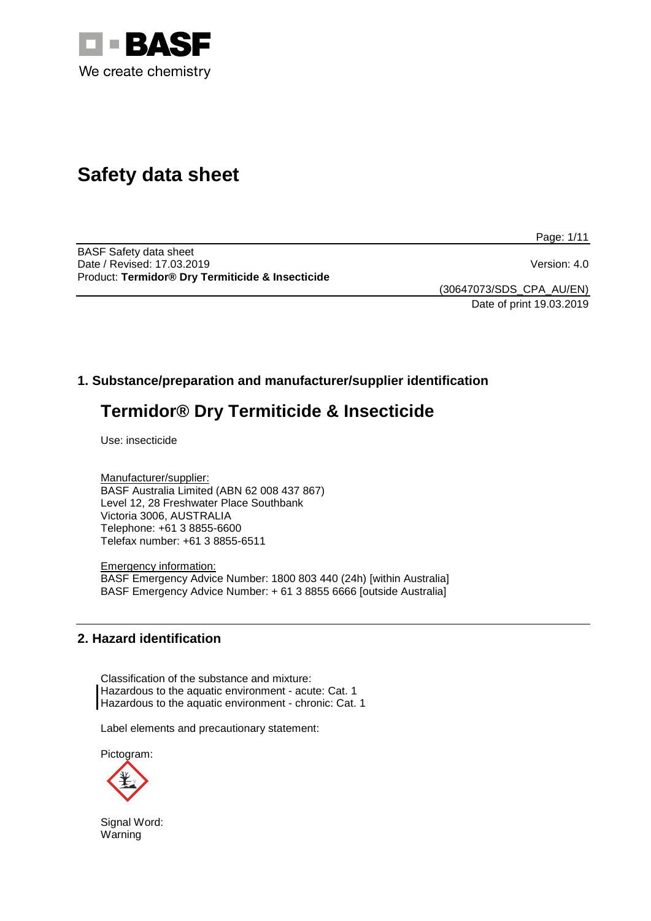

# **Safety data sheet**

Page: 1/11

BASF Safety data sheet Date / Revised: 17.03.2019 Version: 4.0 Product: **Termidor® Dry Termiticide & Insecticide**

(30647073/SDS\_CPA\_AU/EN) Date of print 19.03.2019

# **1. Substance/preparation and manufacturer/supplier identification**

# **Termidor® Dry Termiticide & Insecticide**

Use: insecticide

Manufacturer/supplier: BASF Australia Limited (ABN 62 008 437 867) Level 12, 28 Freshwater Place Southbank Victoria 3006, AUSTRALIA Telephone: +61 3 8855-6600 Telefax number: +61 3 8855-6511

Emergency information: BASF Emergency Advice Number: 1800 803 440 (24h) [within Australia] BASF Emergency Advice Number: + 61 3 8855 6666 [outside Australia]

## **2. Hazard identification**

Classification of the substance and mixture: Hazardous to the aquatic environment - acute: Cat. 1 Hazardous to the aquatic environment - chronic: Cat. 1

Label elements and precautionary statement:

Pictogram:



Signal Word: Warning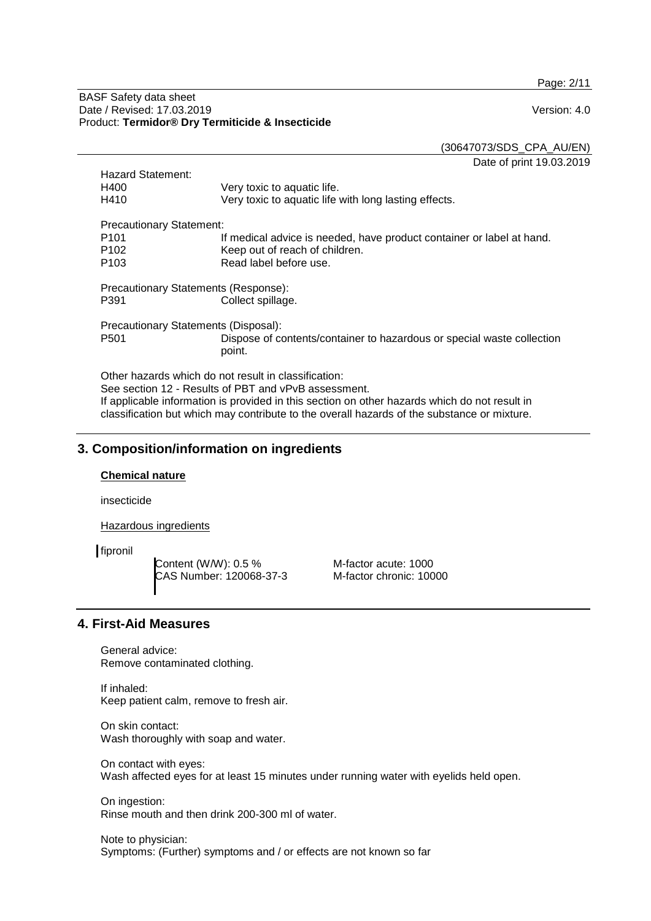Page: 2/11

#### BASF Safety data sheet Date / Revised: 17.03.2019 Version: 4.0 Product: **Termidor® Dry Termiticide & Insecticide**

(30647073/SDS\_CPA\_AU/EN)

Date of print 19.03.2019

| <b>Hazard Statement:</b>                             |                                                                        |  |  |  |
|------------------------------------------------------|------------------------------------------------------------------------|--|--|--|
| H400                                                 | Very toxic to aquatic life.                                            |  |  |  |
| H410                                                 | Very toxic to aquatic life with long lasting effects.                  |  |  |  |
|                                                      | <b>Precautionary Statement:</b>                                        |  |  |  |
| P <sub>101</sub>                                     | If medical advice is needed, have product container or label at hand.  |  |  |  |
| P <sub>102</sub>                                     | Keep out of reach of children.                                         |  |  |  |
| P <sub>103</sub>                                     | Read label before use.                                                 |  |  |  |
| Precautionary Statements (Response):                 |                                                                        |  |  |  |
| P391                                                 | Collect spillage.                                                      |  |  |  |
| Precautionary Statements (Disposal):                 |                                                                        |  |  |  |
| P <sub>501</sub>                                     | Dispose of contents/container to hazardous or special waste collection |  |  |  |
|                                                      | point.                                                                 |  |  |  |
| Other hazards which do not result in classification: |                                                                        |  |  |  |

See section 12 - Results of PBT and vPvB assessment. If applicable information is provided in this section on other hazards which do not result in classification but which may contribute to the overall hazards of the substance or mixture.

## **3. Composition/information on ingredients**

#### **Chemical nature**

insecticide

Hazardous ingredients

fipronil

Content (W/W): 0.5 % CAS Number: 120068-37-3

M-factor acute: 1000 M-factor chronic: 10000

## **4. First-Aid Measures**

General advice: Remove contaminated clothing.

If inhaled: Keep patient calm, remove to fresh air.

On skin contact: Wash thoroughly with soap and water.

On contact with eyes: Wash affected eyes for at least 15 minutes under running water with eyelids held open.

On ingestion: Rinse mouth and then drink 200-300 ml of water.

Note to physician: Symptoms: (Further) symptoms and / or effects are not known so far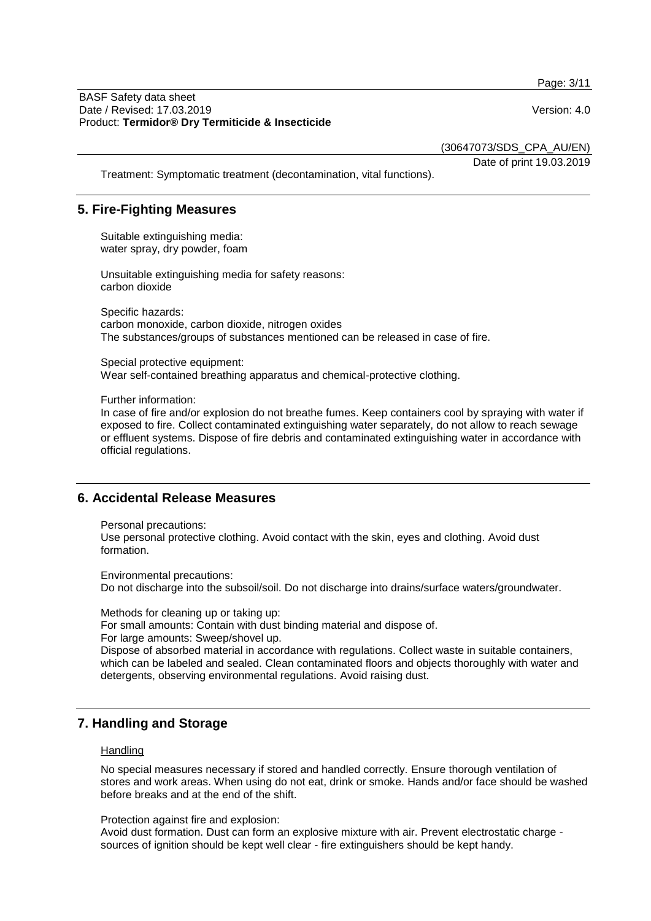Page: 3/11

(30647073/SDS\_CPA\_AU/EN)

Date of print 19.03.2019

Treatment: Symptomatic treatment (decontamination, vital functions).

## **5. Fire-Fighting Measures**

Suitable extinguishing media: water spray, dry powder, foam

Unsuitable extinguishing media for safety reasons: carbon dioxide

Specific hazards: carbon monoxide, carbon dioxide, nitrogen oxides The substances/groups of substances mentioned can be released in case of fire.

Special protective equipment: Wear self-contained breathing apparatus and chemical-protective clothing.

Further information:

In case of fire and/or explosion do not breathe fumes. Keep containers cool by spraying with water if exposed to fire. Collect contaminated extinguishing water separately, do not allow to reach sewage or effluent systems. Dispose of fire debris and contaminated extinguishing water in accordance with official regulations.

#### **6. Accidental Release Measures**

Personal precautions: Use personal protective clothing. Avoid contact with the skin, eyes and clothing. Avoid dust formation.

Environmental precautions: Do not discharge into the subsoil/soil. Do not discharge into drains/surface waters/groundwater.

Methods for cleaning up or taking up: For small amounts: Contain with dust binding material and dispose of. For large amounts: Sweep/shovel up. Dispose of absorbed material in accordance with regulations. Collect waste in suitable containers, which can be labeled and sealed. Clean contaminated floors and objects thoroughly with water and detergents, observing environmental regulations. Avoid raising dust.

## **7. Handling and Storage**

#### **Handling**

No special measures necessary if stored and handled correctly. Ensure thorough ventilation of stores and work areas. When using do not eat, drink or smoke. Hands and/or face should be washed before breaks and at the end of the shift.

Protection against fire and explosion:

Avoid dust formation. Dust can form an explosive mixture with air. Prevent electrostatic charge sources of ignition should be kept well clear - fire extinguishers should be kept handy.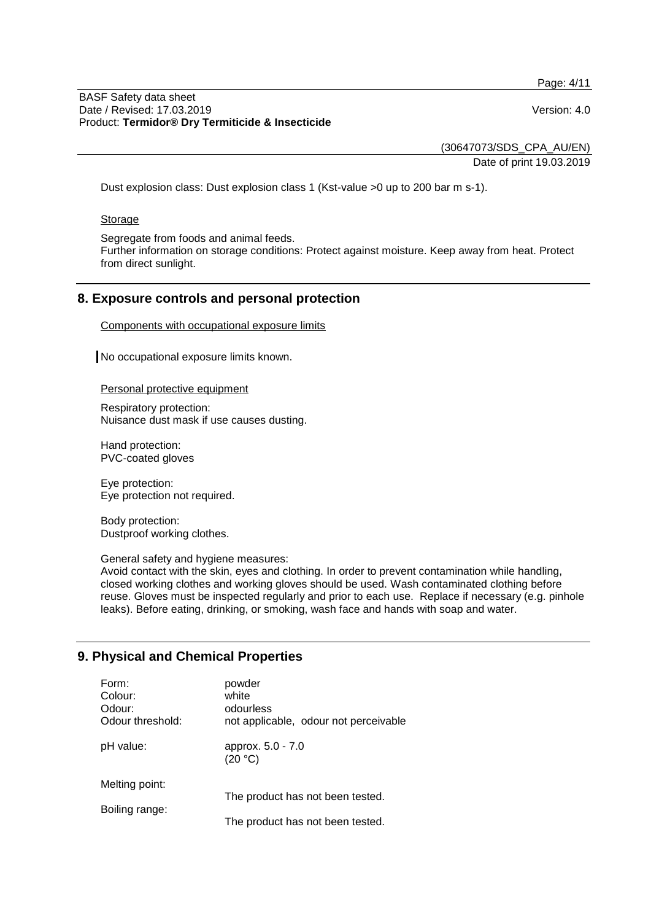Page: 4/11

#### BASF Safety data sheet Date / Revised: 17.03.2019 Version: 4.0 Product: **Termidor® Dry Termiticide & Insecticide**

(30647073/SDS\_CPA\_AU/EN) Date of print 19.03.2019

Dust explosion class: Dust explosion class 1 (Kst-value >0 up to 200 bar m s-1).

#### **Storage**

Segregate from foods and animal feeds.

Further information on storage conditions: Protect against moisture. Keep away from heat. Protect from direct sunlight.

## **8. Exposure controls and personal protection**

Components with occupational exposure limits

No occupational exposure limits known.

Personal protective equipment

Respiratory protection: Nuisance dust mask if use causes dusting.

Hand protection: PVC-coated gloves

Eye protection: Eye protection not required.

Body protection: Dustproof working clothes.

General safety and hygiene measures:

Avoid contact with the skin, eyes and clothing. In order to prevent contamination while handling, closed working clothes and working gloves should be used. Wash contaminated clothing before reuse. Gloves must be inspected regularly and prior to each use. Replace if necessary (e.g. pinhole leaks). Before eating, drinking, or smoking, wash face and hands with soap and water.

## **9. Physical and Chemical Properties**

| Form:<br>Colour:<br>Odour:<br>Odour threshold: | powder<br>white<br>odourless<br>not applicable, odour not perceivable |
|------------------------------------------------|-----------------------------------------------------------------------|
| pH value:                                      | approx. 5.0 - 7.0<br>(20 °C)                                          |
| Melting point:                                 |                                                                       |
| Boiling range:                                 | The product has not been tested.<br>The product has not been tested.  |
|                                                |                                                                       |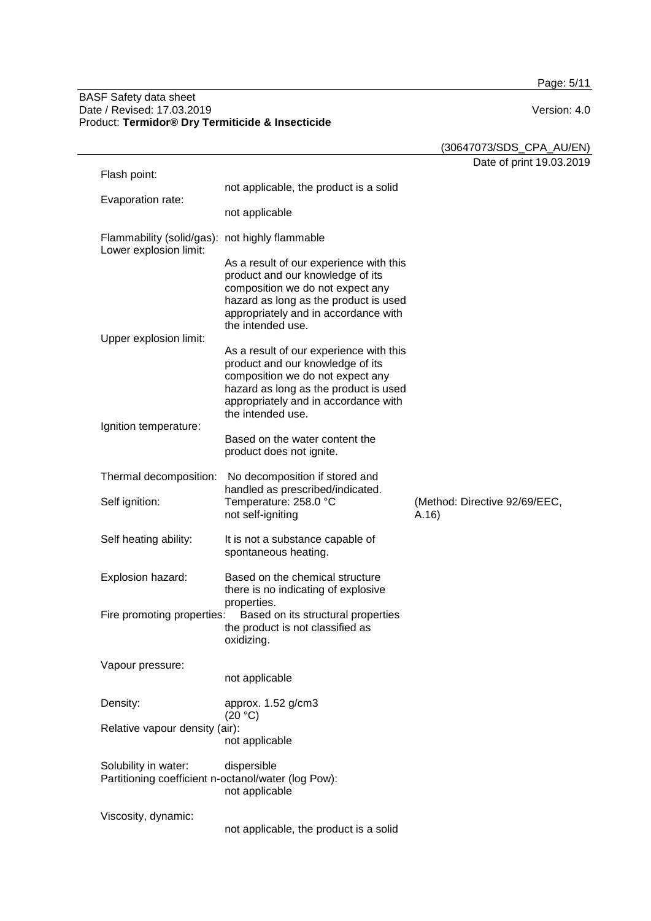Page: 5/11

#### BASF Safety data sheet Date / Revised: 17.03.2019 Version: 4.0 Product: **Termidor® Dry Termiticide & Insecticide**

|                                                                             |                                                                                                                                                                                                                       | (30647073/SDS_CPA_AU/EN)               |
|-----------------------------------------------------------------------------|-----------------------------------------------------------------------------------------------------------------------------------------------------------------------------------------------------------------------|----------------------------------------|
| Flash point:                                                                |                                                                                                                                                                                                                       | Date of print 19.03.2019               |
|                                                                             | not applicable, the product is a solid                                                                                                                                                                                |                                        |
| Evaporation rate:                                                           | not applicable                                                                                                                                                                                                        |                                        |
| Flammability (solid/gas): not highly flammable<br>Lower explosion limit:    |                                                                                                                                                                                                                       |                                        |
|                                                                             | As a result of our experience with this<br>product and our knowledge of its<br>composition we do not expect any<br>hazard as long as the product is used<br>appropriately and in accordance with<br>the intended use. |                                        |
| Upper explosion limit:                                                      |                                                                                                                                                                                                                       |                                        |
|                                                                             | As a result of our experience with this<br>product and our knowledge of its<br>composition we do not expect any<br>hazard as long as the product is used<br>appropriately and in accordance with<br>the intended use. |                                        |
| Ignition temperature:                                                       | Based on the water content the<br>product does not ignite.                                                                                                                                                            |                                        |
| Thermal decomposition:                                                      | No decomposition if stored and<br>handled as prescribed/indicated.                                                                                                                                                    |                                        |
| Self ignition:                                                              | Temperature: 258.0 °C<br>not self-igniting                                                                                                                                                                            | (Method: Directive 92/69/EEC,<br>A.16) |
| Self heating ability:                                                       | It is not a substance capable of<br>spontaneous heating.                                                                                                                                                              |                                        |
| Explosion hazard:                                                           | Based on the chemical structure<br>there is no indicating of explosive<br>properties.                                                                                                                                 |                                        |
| Fire promoting properties:                                                  | Based on its structural properties<br>the product is not classified as<br>oxidizing.                                                                                                                                  |                                        |
| Vapour pressure:                                                            | not applicable                                                                                                                                                                                                        |                                        |
| Density:                                                                    | approx. 1.52 g/cm3<br>(20 °C)                                                                                                                                                                                         |                                        |
| Relative vapour density (air):                                              | not applicable                                                                                                                                                                                                        |                                        |
| Solubility in water:<br>Partitioning coefficient n-octanol/water (log Pow): | dispersible<br>not applicable                                                                                                                                                                                         |                                        |
| Viscosity, dynamic:                                                         | not applicable, the product is a solid                                                                                                                                                                                |                                        |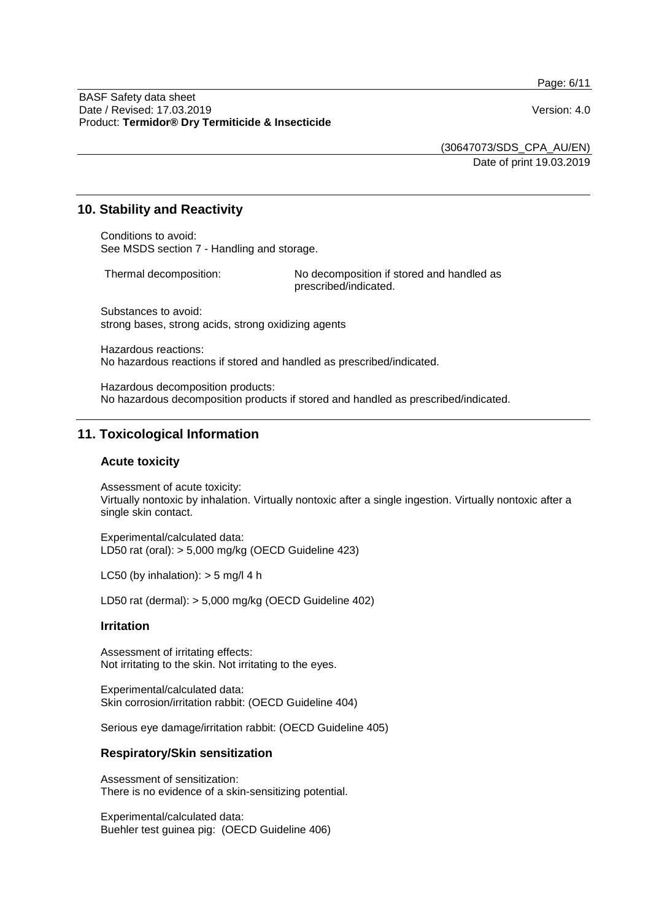Page: 6/11

(30647073/SDS\_CPA\_AU/EN)

Date of print 19.03.2019

## **10. Stability and Reactivity**

Conditions to avoid: See MSDS section 7 - Handling and storage.

Thermal decomposition: No decomposition if stored and handled as prescribed/indicated.

Substances to avoid: strong bases, strong acids, strong oxidizing agents

Hazardous reactions: No hazardous reactions if stored and handled as prescribed/indicated.

Hazardous decomposition products: No hazardous decomposition products if stored and handled as prescribed/indicated.

## **11. Toxicological Information**

#### **Acute toxicity**

Assessment of acute toxicity: Virtually nontoxic by inhalation. Virtually nontoxic after a single ingestion. Virtually nontoxic after a single skin contact.

Experimental/calculated data: LD50 rat (oral): > 5,000 mg/kg (OECD Guideline 423)

LC50 (by inhalation):  $>$  5 mg/l 4 h

LD50 rat (dermal): > 5,000 mg/kg (OECD Guideline 402)

#### **Irritation**

Assessment of irritating effects: Not irritating to the skin. Not irritating to the eyes.

Experimental/calculated data: Skin corrosion/irritation rabbit: (OECD Guideline 404)

Serious eye damage/irritation rabbit: (OECD Guideline 405)

#### **Respiratory/Skin sensitization**

Assessment of sensitization: There is no evidence of a skin-sensitizing potential.

Experimental/calculated data: Buehler test guinea pig: (OECD Guideline 406)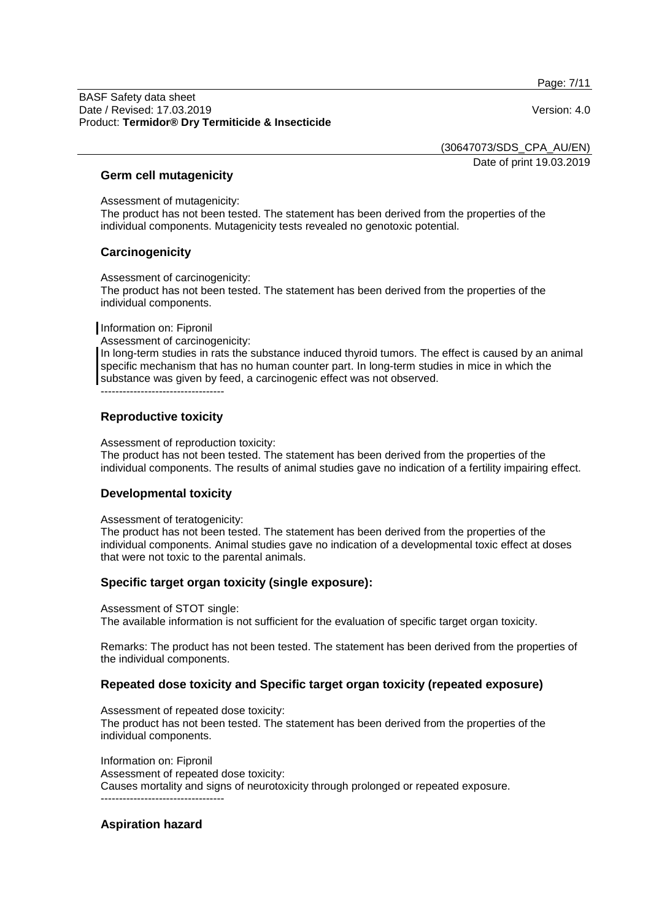Page: 7/11

BASF Safety data sheet Date / Revised: 17.03.2019 Version: 4.0 Product: **Termidor® Dry Termiticide & Insecticide**

(30647073/SDS\_CPA\_AU/EN)

Date of print 19.03.2019

#### **Germ cell mutagenicity**

Assessment of mutagenicity:

The product has not been tested. The statement has been derived from the properties of the individual components. Mutagenicity tests revealed no genotoxic potential.

## **Carcinogenicity**

Assessment of carcinogenicity:

The product has not been tested. The statement has been derived from the properties of the individual components.

Information on: Fipronil

Assessment of carcinogenicity:

In long-term studies in rats the substance induced thyroid tumors. The effect is caused by an animal specific mechanism that has no human counter part. In long-term studies in mice in which the substance was given by feed, a carcinogenic effect was not observed.

----------------------------------

## **Reproductive toxicity**

Assessment of reproduction toxicity:

The product has not been tested. The statement has been derived from the properties of the individual components. The results of animal studies gave no indication of a fertility impairing effect.

#### **Developmental toxicity**

Assessment of teratogenicity:

The product has not been tested. The statement has been derived from the properties of the individual components. Animal studies gave no indication of a developmental toxic effect at doses that were not toxic to the parental animals.

## **Specific target organ toxicity (single exposure):**

Assessment of STOT single: The available information is not sufficient for the evaluation of specific target organ toxicity.

Remarks: The product has not been tested. The statement has been derived from the properties of the individual components.

## **Repeated dose toxicity and Specific target organ toxicity (repeated exposure)**

Assessment of repeated dose toxicity: The product has not been tested. The statement has been derived from the properties of the individual components.

Information on: Fipronil Assessment of repeated dose toxicity: Causes mortality and signs of neurotoxicity through prolonged or repeated exposure. ----------------------------------

## **Aspiration hazard**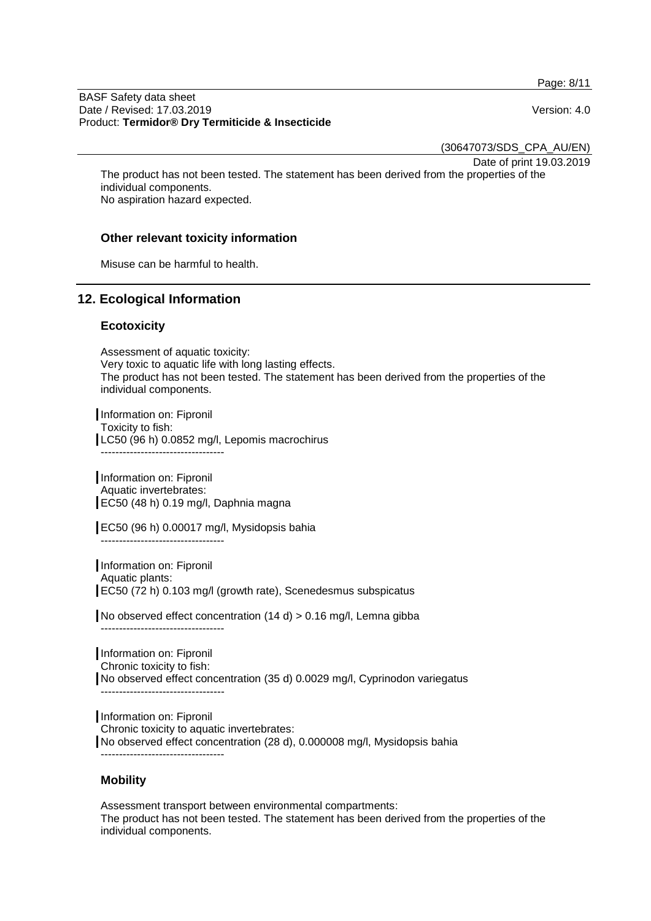Page: 8/11

BASF Safety data sheet Date / Revised: 17.03.2019 Version: 4.0 Product: **Termidor® Dry Termiticide & Insecticide**

(30647073/SDS\_CPA\_AU/EN)

Date of print 19.03.2019

The product has not been tested. The statement has been derived from the properties of the individual components. No aspiration hazard expected.

## **Other relevant toxicity information**

Misuse can be harmful to health.

## **12. Ecological Information**

## **Ecotoxicity**

Assessment of aquatic toxicity: Very toxic to aquatic life with long lasting effects. The product has not been tested. The statement has been derived from the properties of the individual components.

Information on: Fipronil Toxicity to fish: LC50 (96 h) 0.0852 mg/l, Lepomis macrochirus ----------------------------------

Information on: Fipronil Aquatic invertebrates: EC50 (48 h) 0.19 mg/l, Daphnia magna

EC50 (96 h) 0.00017 mg/l, Mysidopsis bahia

----------------------------------

Information on: Fipronil Aquatic plants: EC50 (72 h) 0.103 mg/l (growth rate), Scenedesmus subspicatus

No observed effect concentration (14 d) > 0.16 mg/l, Lemna gibba ----------------------------------

Information on: Fipronil Chronic toxicity to fish: No observed effect concentration (35 d) 0.0029 mg/l, Cyprinodon variegatus ----------------------------------

Information on: Fipronil Chronic toxicity to aquatic invertebrates: No observed effect concentration (28 d), 0.000008 mg/l, Mysidopsis bahia ----------------------------------

## **Mobility**

Assessment transport between environmental compartments: The product has not been tested. The statement has been derived from the properties of the individual components.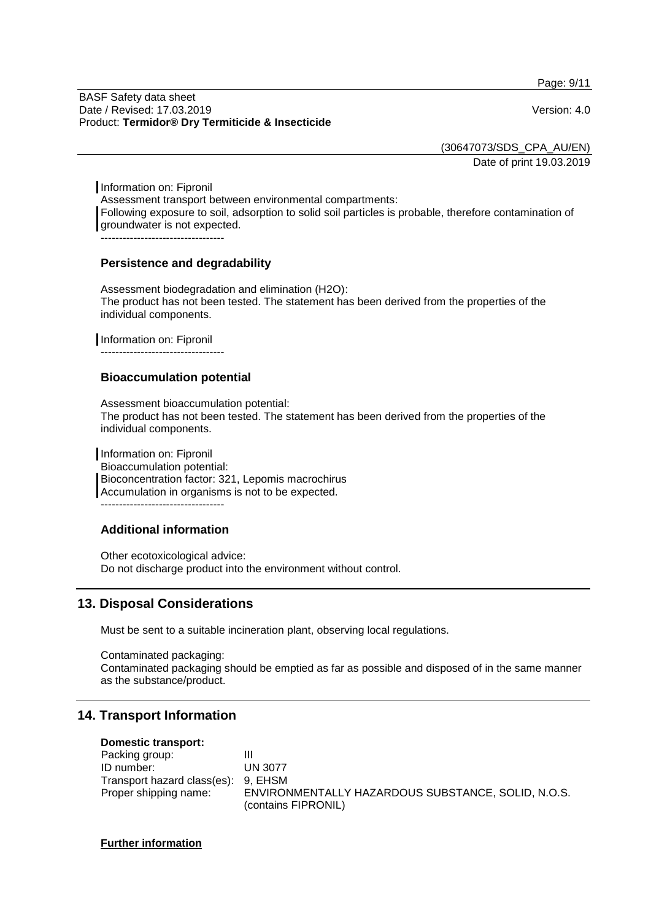Page: 9/11

BASF Safety data sheet Date / Revised: 17.03.2019 Version: 4.0 Product: **Termidor® Dry Termiticide & Insecticide**

(30647073/SDS\_CPA\_AU/EN)

Date of print 19.03.2019

Information on: Fipronil Assessment transport between environmental compartments: Following exposure to soil, adsorption to solid soil particles is probable, therefore contamination of groundwater is not expected. ----------------------------------

## **Persistence and degradability**

Assessment biodegradation and elimination (H2O): The product has not been tested. The statement has been derived from the properties of the individual components.

Information on: Fipronil

----------------------------------

## **Bioaccumulation potential**

Assessment bioaccumulation potential: The product has not been tested. The statement has been derived from the properties of the individual components.

Information on: Fipronil Bioaccumulation potential: Bioconcentration factor: 321, Lepomis macrochirus Accumulation in organisms is not to be expected. ----------------------------------

## **Additional information**

Other ecotoxicological advice: Do not discharge product into the environment without control.

# **13. Disposal Considerations**

Must be sent to a suitable incineration plant, observing local regulations.

Contaminated packaging: Contaminated packaging should be emptied as far as possible and disposed of in the same manner as the substance/product.

## **14. Transport Information**

#### **Domestic transport:**

| Packing group:                      | Ш                                                  |
|-------------------------------------|----------------------------------------------------|
| ID number:                          | UN 3077                                            |
| Transport hazard class(es): 9, EHSM |                                                    |
| Proper shipping name:               | ENVIRONMENTALLY HAZARDOUS SUBSTANCE, SOLID, N.O.S. |
|                                     | (contains FIPRONIL)                                |

#### **Further information**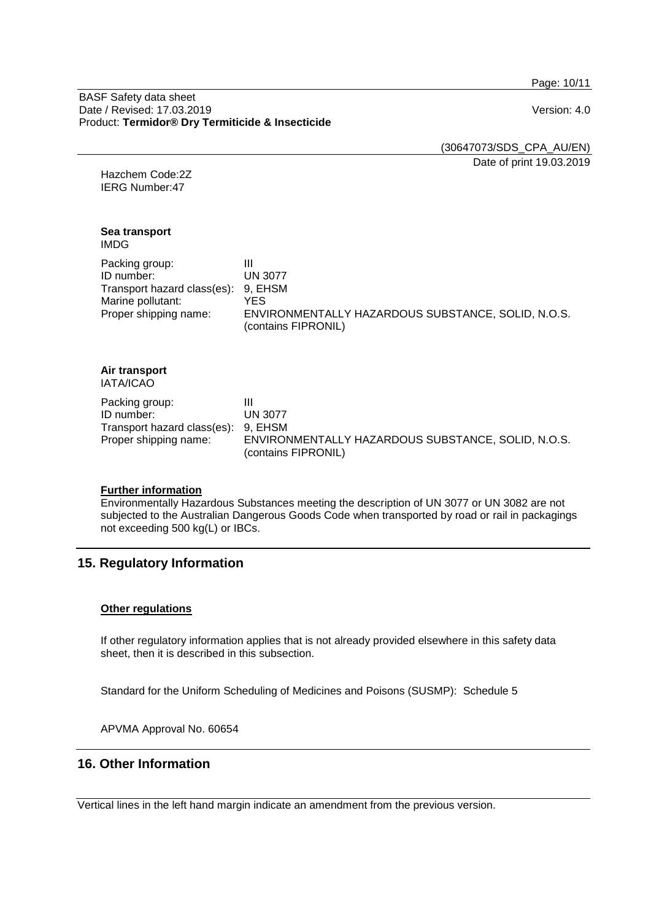Page: 10/11

BASF Safety data sheet Date / Revised: 17.03.2019 Version: 4.0 Product: **Termidor® Dry Termiticide & Insecticide**

(30647073/SDS\_CPA\_AU/EN) Date of print 19.03.2019

Hazchem Code:2Z IERG Number:47

#### **Sea transport** IMDG

| Packing group:                      |                                                                           |
|-------------------------------------|---------------------------------------------------------------------------|
| ID number:                          | <b>UN 3077</b>                                                            |
| Transport hazard class(es): 9, EHSM |                                                                           |
| Marine pollutant:                   | YES                                                                       |
| Proper shipping name:               | ENVIRONMENTALLY HAZARDOUS SUBSTANCE, SOLID, N.O.S.<br>(contains FIPRONIL) |

#### **Air transport** IATA/ICAO

| Packing group:                      | ш                                                  |
|-------------------------------------|----------------------------------------------------|
| ID number:                          | UN 3077                                            |
| Transport hazard class(es): 9, EHSM |                                                    |
| Proper shipping name:               | ENVIRONMENTALLY HAZARDOUS SUBSTANCE, SOLID, N.O.S. |
|                                     | (contains FIPRONIL)                                |

## **Further information**

Environmentally Hazardous Substances meeting the description of UN 3077 or UN 3082 are not subjected to the Australian Dangerous Goods Code when transported by road or rail in packagings not exceeding 500 kg(L) or IBCs.

# **15. Regulatory Information**

## **Other regulations**

If other regulatory information applies that is not already provided elsewhere in this safety data sheet, then it is described in this subsection.

Standard for the Uniform Scheduling of Medicines and Poisons (SUSMP): Schedule 5

APVMA Approval No. 60654

# **16. Other Information**

Vertical lines in the left hand margin indicate an amendment from the previous version.